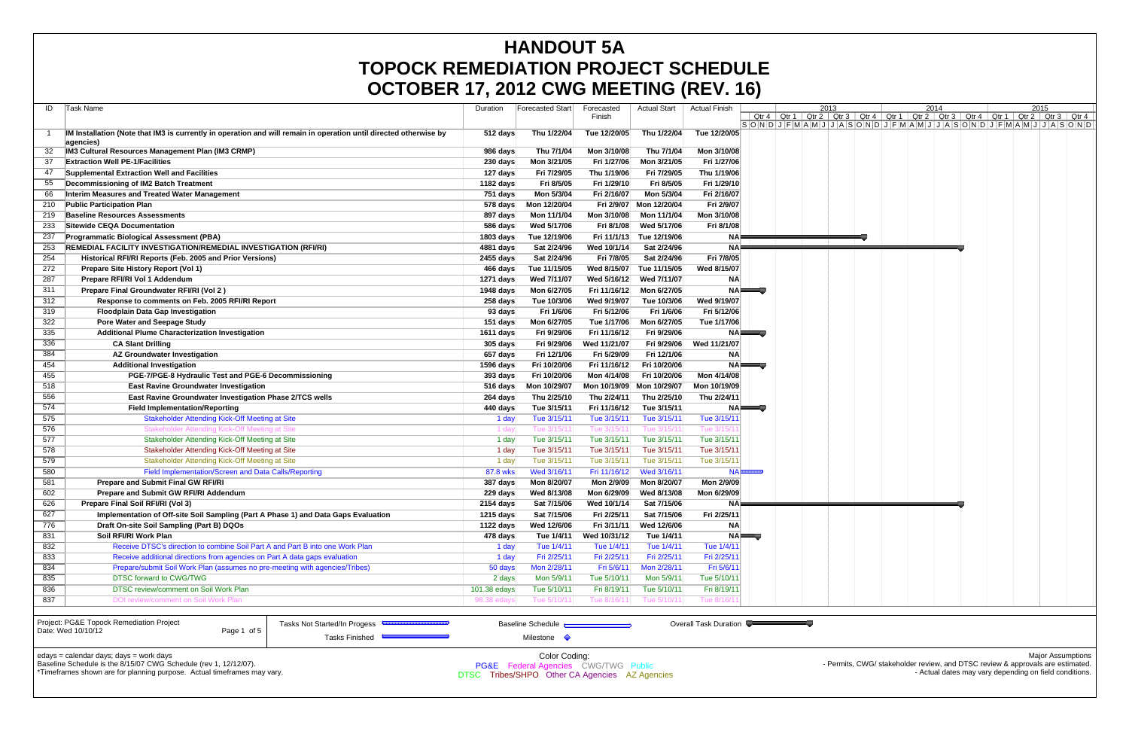|     | OCTOBER 17, 2012 CWG MEETING (REV. 16)                                                                                         |                                                |                                                 |              |                     |                       |                     |      |                                                                                                                                                                                                                                                                                                                                                                                                                         |  |      |                                                        |
|-----|--------------------------------------------------------------------------------------------------------------------------------|------------------------------------------------|-------------------------------------------------|--------------|---------------------|-----------------------|---------------------|------|-------------------------------------------------------------------------------------------------------------------------------------------------------------------------------------------------------------------------------------------------------------------------------------------------------------------------------------------------------------------------------------------------------------------------|--|------|--------------------------------------------------------|
| ID  | Task Name                                                                                                                      | Duration                                       | <b>Forecasted Start</b>                         | Forecasted   | <b>Actual Start</b> | <b>Actual Finish</b>  |                     | 2013 | 2014                                                                                                                                                                                                                                                                                                                                                                                                                    |  | 2015 |                                                        |
|     |                                                                                                                                |                                                |                                                 | Finish       |                     |                       | Qtr 4 Qtr 1         |      | Qtr 2   Qtr 3   Qtr 4   Qtr 1   Qtr 2   Qtr 3   Qtr 4   Qtr 1   Qtr 2   Qtr 3   Qtr 4                                                                                                                                                                                                                                                                                                                                   |  |      |                                                        |
|     |                                                                                                                                |                                                | Thu 1/22/04                                     |              |                     |                       |                     |      | $ \mathsf{S} \mathsf{O} \mathsf{N} \mathsf{D} \mathsf{J} \mathsf{F} \mathsf{M} \mathsf{A} \mathsf{M} \mathsf{J} \mathsf{J} \mathsf{A} \mathsf{S} \mathsf{O} \mathsf{N} \mathsf{D} \mathsf{J} \mathsf{F} \mathsf{M} \mathsf{A} \mathsf{M} \mathsf{J} \mathsf{J} \mathsf{A} \mathsf{S} \mathsf{O} \mathsf{N} \mathsf{D} \mathsf{J} \mathsf{F} \mathsf{M} \mathsf{A} \mathsf{M} \mathsf{J} \mathsf{J} \mathsf{A} \mathsf{$ |  |      |                                                        |
|     | IM Installation (Note that IM3 is currently in operation and will remain in operation until directed otherwise by<br>agencies) | 512 days                                       |                                                 | Tue 12/20/05 | Thu 1/22/04         | Tue 12/20/05          |                     |      |                                                                                                                                                                                                                                                                                                                                                                                                                         |  |      |                                                        |
|     | <b>IM3 Cultural Resources Management Plan (IM3 CRMP)</b>                                                                       | 986 days                                       | Thu 7/1/04                                      | Mon 3/10/08  | Thu 7/1/04          | Mon 3/10/08           |                     |      |                                                                                                                                                                                                                                                                                                                                                                                                                         |  |      |                                                        |
| 37  | <b>Extraction Well PE-1/Facilities</b>                                                                                         | 230 days                                       | Mon 3/21/05                                     | Fri 1/27/06  | Mon 3/21/05         | Fri 1/27/06           |                     |      |                                                                                                                                                                                                                                                                                                                                                                                                                         |  |      |                                                        |
| 47  | Supplemental Extraction Well and Facilities                                                                                    | 127 days                                       | Fri 7/29/05                                     | Thu 1/19/06  | Fri 7/29/05         | Thu 1/19/06           |                     |      |                                                                                                                                                                                                                                                                                                                                                                                                                         |  |      |                                                        |
| 55  | Decommissioning of IM2 Batch Treatment                                                                                         | 1182 days                                      | Fri 8/5/05                                      | Fri 1/29/10  | Fri 8/5/05          | Fri 1/29/10           |                     |      |                                                                                                                                                                                                                                                                                                                                                                                                                         |  |      |                                                        |
| 66  | Interim Measures and Treated Water Management                                                                                  | 751 days                                       | Mon 5/3/04                                      | Fri 2/16/07  | Mon 5/3/04          | Fri 2/16/07           |                     |      |                                                                                                                                                                                                                                                                                                                                                                                                                         |  |      |                                                        |
| 210 | <b>Public Participation Plan</b>                                                                                               | $578$ days                                     | Mon 12/20/04                                    | Fri 2/9/07   | Mon 12/20/04        | Fri 2/9/07            |                     |      |                                                                                                                                                                                                                                                                                                                                                                                                                         |  |      |                                                        |
| 219 | <b>Baseline Resources Assessments</b>                                                                                          | 897 days                                       | Mon 11/1/04                                     | Mon 3/10/08  | Mon 11/1/04         | Mon 3/10/08           |                     |      |                                                                                                                                                                                                                                                                                                                                                                                                                         |  |      |                                                        |
| 233 | <b>Sitewide CEQA Documentation</b>                                                                                             | 586 days                                       | Wed 5/17/06                                     | Fri 8/1/08   | Wed 5/17/06         | Fri 8/1/08            |                     |      |                                                                                                                                                                                                                                                                                                                                                                                                                         |  |      |                                                        |
| 237 | <b>Programmatic Biological Assessment (PBA)</b>                                                                                | 1803 days                                      | Tue 12/19/06                                    | Fri 11/1/13  | Tue 12/19/06        | <b>NA</b>             |                     |      |                                                                                                                                                                                                                                                                                                                                                                                                                         |  |      |                                                        |
| 253 | <b>REMEDIAL FACILITY INVESTIGATION/REMEDIAL INVESTIGATION (RFI/RI)</b>                                                         | 4881 days                                      | Sat 2/24/96                                     | Wed 10/1/14  | Sat 2/24/96         | NA⊧                   |                     |      |                                                                                                                                                                                                                                                                                                                                                                                                                         |  |      |                                                        |
| 254 | Historical RFI/RI Reports (Feb. 2005 and Prior Versions)                                                                       | 2455 days                                      | Sat 2/24/96                                     | Fri 7/8/05   | Sat 2/24/96         | Fri 7/8/05            |                     |      |                                                                                                                                                                                                                                                                                                                                                                                                                         |  |      |                                                        |
| 272 | Prepare Site History Report (Vol 1)                                                                                            | 466 days                                       | Tue 11/15/05                                    | Wed 8/15/07  | Tue 11/15/05        | Wed 8/15/07           |                     |      |                                                                                                                                                                                                                                                                                                                                                                                                                         |  |      |                                                        |
| 287 | Prepare RFI/RI Vol 1 Addendum                                                                                                  | 1271 days                                      | Wed 7/11/07                                     | Wed 5/16/12  | Wed 7/11/07         | <b>NA</b>             |                     |      |                                                                                                                                                                                                                                                                                                                                                                                                                         |  |      |                                                        |
| 311 | Prepare Final Groundwater RFI/RI (Vol 2)                                                                                       | 1948 days                                      | Mon 6/27/05                                     | Fri 11/16/12 | Mon 6/27/05         |                       | NA <del>lle d</del> |      |                                                                                                                                                                                                                                                                                                                                                                                                                         |  |      |                                                        |
| 312 | Response to comments on Feb. 2005 RFI/RI Report                                                                                | 258 days                                       | Tue 10/3/06                                     | Wed 9/19/07  | Tue 10/3/06         | Wed 9/19/07           |                     |      |                                                                                                                                                                                                                                                                                                                                                                                                                         |  |      |                                                        |
| 319 | <b>Floodplain Data Gap Investigation</b>                                                                                       | 93 days                                        | Fri 1/6/06                                      | Fri 5/12/06  | Fri 1/6/06          | Fri 5/12/06           |                     |      |                                                                                                                                                                                                                                                                                                                                                                                                                         |  |      |                                                        |
| 322 | <b>Pore Water and Seepage Study</b>                                                                                            | 151 days                                       | Mon 6/27/05                                     | Tue 1/17/06  | Mon 6/27/05         | Tue 1/17/06           |                     |      |                                                                                                                                                                                                                                                                                                                                                                                                                         |  |      |                                                        |
| 335 | <b>Additional Plume Characterization Investigation</b>                                                                         | 1611 days                                      | Fri 9/29/06                                     | Fri 11/16/12 | Fri 9/29/06         |                       | <b>NAILLET</b>      |      |                                                                                                                                                                                                                                                                                                                                                                                                                         |  |      |                                                        |
| 336 | <b>CA Slant Drilling</b>                                                                                                       | 305 days                                       | Fri 9/29/06                                     | Wed 11/21/07 | Fri 9/29/06         | Wed 11/21/07          |                     |      |                                                                                                                                                                                                                                                                                                                                                                                                                         |  |      |                                                        |
| 384 | <b>AZ Groundwater Investigation</b>                                                                                            | 657 days                                       | Fri 12/1/06                                     | Fri 5/29/09  | Fri 12/1/06         | <b>NA</b>             |                     |      |                                                                                                                                                                                                                                                                                                                                                                                                                         |  |      |                                                        |
| 454 | <b>Additional Investigation</b>                                                                                                | 1596 days                                      | Fri 10/20/06                                    | Fri 11/16/12 | Fri 10/20/06        |                       | NA                  |      |                                                                                                                                                                                                                                                                                                                                                                                                                         |  |      |                                                        |
| 455 | PGE-7/PGE-8 Hydraulic Test and PGE-6 Decommissioning                                                                           | 393 days                                       | Fri 10/20/06                                    | Mon 4/14/08  | Fri 10/20/06        | Mon 4/14/08           |                     |      |                                                                                                                                                                                                                                                                                                                                                                                                                         |  |      |                                                        |
| 518 | <b>East Ravine Groundwater Investigation</b>                                                                                   | $516 \text{ days}$                             | Mon 10/29/07                                    | Mon 10/19/09 | Mon 10/29/07        | Mon 10/19/09          |                     |      |                                                                                                                                                                                                                                                                                                                                                                                                                         |  |      |                                                        |
| 556 | East Ravine Groundwater Investigation Phase 2/TCS wells                                                                        | 264 days                                       | Thu 2/25/10                                     | Thu 2/24/11  | Thu 2/25/10         | Thu 2/24/11           |                     |      |                                                                                                                                                                                                                                                                                                                                                                                                                         |  |      |                                                        |
| 574 | <b>Field Implementation/Reporting</b>                                                                                          | 440 days                                       | Tue 3/15/11                                     | Fri 11/16/12 | Tue 3/15/11         |                       | NA <del>lle d</del> |      |                                                                                                                                                                                                                                                                                                                                                                                                                         |  |      |                                                        |
| 575 | Stakeholder Attending Kick-Off Meeting at Site                                                                                 | 1 day                                          | Tue 3/15/11                                     | Tue 3/15/11  | Tue 3/15/11         | Tue 3/15/11           |                     |      |                                                                                                                                                                                                                                                                                                                                                                                                                         |  |      |                                                        |
| 576 | Stakeholder Attending Kick-Off Meeting at Site                                                                                 | 1 day                                          | Tue $3/15/1$                                    | Tue 3/15/11  | Tue 3/15/11         | Tue 3/15/1            |                     |      |                                                                                                                                                                                                                                                                                                                                                                                                                         |  |      |                                                        |
| 577 | Stakeholder Attending Kick-Off Meeting at Site                                                                                 | 1 day                                          | Tue 3/15/11                                     | Tue 3/15/11  | Tue 3/15/11         | Tue 3/15/11           |                     |      |                                                                                                                                                                                                                                                                                                                                                                                                                         |  |      |                                                        |
| 578 | Stakeholder Attending Kick-Off Meeting at Site                                                                                 | 1 day                                          | Tue 3/15/11                                     | Tue 3/15/11  | Tue 3/15/11         | Tue 3/15/11           |                     |      |                                                                                                                                                                                                                                                                                                                                                                                                                         |  |      |                                                        |
| 579 | Stakeholder Attending Kick-Off Meeting at Site                                                                                 | 1 day                                          | Tue 3/15/11                                     | Tue 3/15/11  | Tue 3/15/11         | Tue 3/15/11           |                     |      |                                                                                                                                                                                                                                                                                                                                                                                                                         |  |      |                                                        |
| 580 | Field Implementation/Screen and Data Calls/Reporting                                                                           | 87.8 wks                                       | Wed 3/16/11                                     | Fri 11/16/12 | Wed 3/16/11         | <b>NA</b>             |                     |      |                                                                                                                                                                                                                                                                                                                                                                                                                         |  |      |                                                        |
| 581 | <b>Prepare and Submit Final GW RFI/RI</b>                                                                                      | 387 days                                       | Mon 8/20/07                                     | Mon 2/9/09   | Mon 8/20/07         | Mon 2/9/09            |                     |      |                                                                                                                                                                                                                                                                                                                                                                                                                         |  |      |                                                        |
| 602 | <b>Prepare and Submit GW RFI/RI Addendum</b>                                                                                   | 229 days                                       | Wed 8/13/08                                     | Mon 6/29/09  | Wed 8/13/08         | Mon 6/29/09           |                     |      |                                                                                                                                                                                                                                                                                                                                                                                                                         |  |      |                                                        |
| 626 | Prepare Final Soil RFI/RI (Vol 3)                                                                                              | 2154 days                                      | Sat 7/15/06                                     | Wed 10/1/14  | Sat 7/15/06         | <b>NAF</b>            |                     |      |                                                                                                                                                                                                                                                                                                                                                                                                                         |  |      |                                                        |
| 627 | Implementation of Off-site Soil Sampling (Part A Phase 1) and Data Gaps Evaluation                                             | 1215 days                                      | Sat 7/15/06                                     | Fri 2/25/11  | Sat 7/15/06         | Fri 2/25/11           |                     |      |                                                                                                                                                                                                                                                                                                                                                                                                                         |  |      |                                                        |
| 776 | Draft On-site Soil Sampling (Part B) DQOs                                                                                      | 1122 days                                      | Wed 12/6/06                                     | Fri 3/11/11  | Wed 12/6/06         | <b>NA</b>             |                     |      |                                                                                                                                                                                                                                                                                                                                                                                                                         |  |      |                                                        |
| 831 | Soil RFI/RI Work Plan                                                                                                          | 478 days                                       | Tue 1/4/11                                      | Wed 10/31/12 | Tue 1/4/11          |                       | <b>NAILLE</b>       |      |                                                                                                                                                                                                                                                                                                                                                                                                                         |  |      |                                                        |
| 832 | Receive DTSC's direction to combine Soil Part A and Part B into one Work Plan                                                  | 1 day                                          | Tue 1/4/11                                      | Tue 1/4/11   | Tue 1/4/11          | Tue 1/4/11            |                     |      |                                                                                                                                                                                                                                                                                                                                                                                                                         |  |      |                                                        |
| 833 | Receive additional directions from agencies on Part A data gaps evaluation                                                     | 1 day                                          | Fri 2/25/11                                     | Fri 2/25/11  | Fri 2/25/11         | Fri 2/25/11           |                     |      |                                                                                                                                                                                                                                                                                                                                                                                                                         |  |      |                                                        |
| 834 | Prepare/submit Soil Work Plan (assumes no pre-meeting with agencies/Tribes)                                                    | 50 days                                        | Mon 2/28/11                                     | Fri 5/6/11   | Mon 2/28/11         | Fri 5/6/11            |                     |      |                                                                                                                                                                                                                                                                                                                                                                                                                         |  |      |                                                        |
| 835 | <b>DTSC forward to CWG/TWG</b>                                                                                                 | 2 days                                         | Mon 5/9/11                                      | Tue 5/10/11  | Mon 5/9/11          | Tue 5/10/11           |                     |      |                                                                                                                                                                                                                                                                                                                                                                                                                         |  |      |                                                        |
| 836 | DTSC review/comment on Soil Work Plan                                                                                          | 101.38 edays                                   | Tue 5/10/11                                     | Fri 8/19/11  | Tue 5/10/11         | Fri 8/19/11           |                     |      |                                                                                                                                                                                                                                                                                                                                                                                                                         |  |      |                                                        |
| 837 | DOI review/comment on Soil Work Plan                                                                                           | 98.38 edays                                    | Tue 5/10/11                                     | Tue 8/16/1   | Tue 5/10/11         | Tue 8/16/             |                     |      |                                                                                                                                                                                                                                                                                                                                                                                                                         |  |      |                                                        |
|     |                                                                                                                                |                                                |                                                 |              |                     |                       |                     |      |                                                                                                                                                                                                                                                                                                                                                                                                                         |  |      |                                                        |
|     | Project: PG&E Topock Remediation Project<br>Tasks Not Started/In Progess                                                       |                                                | Baseline Schedule                               |              |                     | Overall Task Duration |                     |      |                                                                                                                                                                                                                                                                                                                                                                                                                         |  |      |                                                        |
|     | Date: Wed 10/10/12<br>Page 1 of 5<br>Tasks Finished                                                                            |                                                | Milestone $\Diamond$                            |              |                     |                       |                     |      |                                                                                                                                                                                                                                                                                                                                                                                                                         |  |      |                                                        |
|     |                                                                                                                                |                                                |                                                 |              |                     |                       |                     |      |                                                                                                                                                                                                                                                                                                                                                                                                                         |  |      |                                                        |
|     | edays = calendar days; days = work days                                                                                        |                                                | Color Coding:                                   |              |                     |                       |                     |      |                                                                                                                                                                                                                                                                                                                                                                                                                         |  |      | <b>Major Assumptions</b>                               |
|     | Baseline Schedule is the 8/15/07 CWG Schedule (rev 1, 12/12/07).                                                               |                                                | <b>PG&amp;E</b> Federal Agencies CWG/TWG Public |              |                     |                       |                     |      | - Permits, CWG/ stakeholder review, and DTSC review & approvals are estimated.                                                                                                                                                                                                                                                                                                                                          |  |      |                                                        |
|     | *Timeframes shown are for planning purpose. Actual timeframes may vary.                                                        | DTSC Tribes/SHPO Other CA Agencies AZ Agencies |                                                 |              |                     |                       |                     |      |                                                                                                                                                                                                                                                                                                                                                                                                                         |  |      | - Actual dates may vary depending on field conditions. |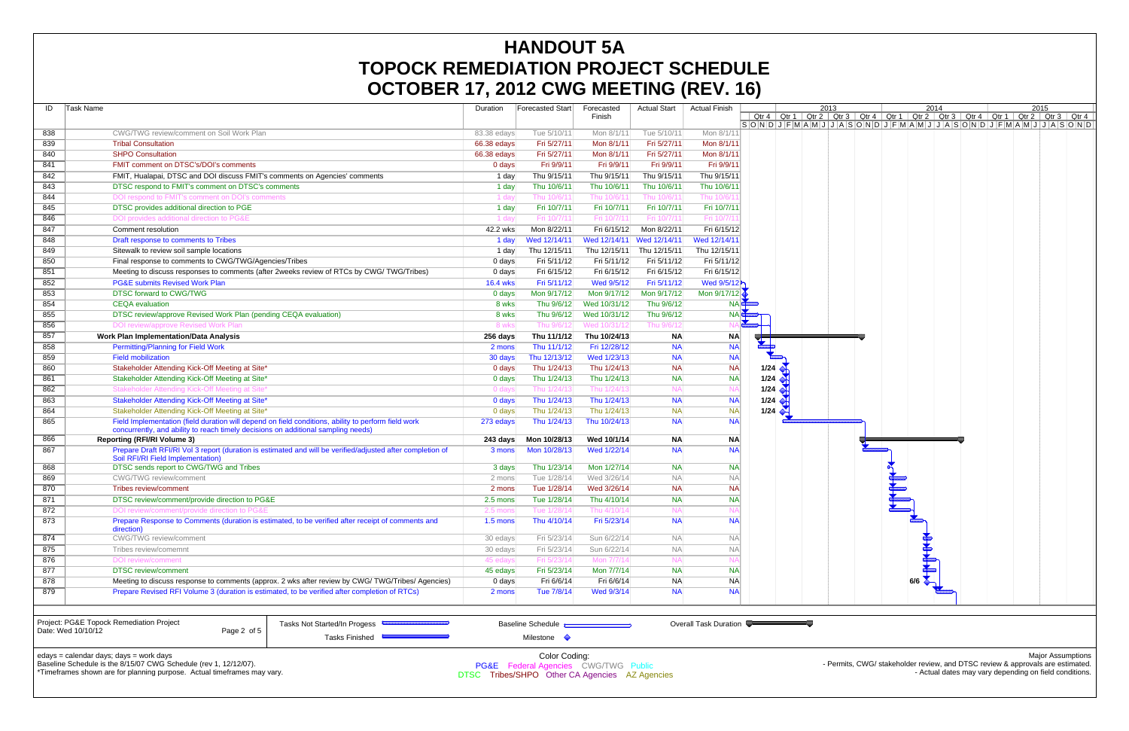|                    | UUTUDLIN TI, ZUTZ UWU MLLTINU (INLY. TU)                                                                                                        |                 |                                                                  |                         |                       |                        |                                 |      |            |                                                                                                                                                                                                                                     |
|--------------------|-------------------------------------------------------------------------------------------------------------------------------------------------|-----------------|------------------------------------------------------------------|-------------------------|-----------------------|------------------------|---------------------------------|------|------------|-------------------------------------------------------------------------------------------------------------------------------------------------------------------------------------------------------------------------------------|
| Task Name<br>ID    |                                                                                                                                                 | Duration        | Forecasted Start                                                 | Forecasted              | Actual Start          | <b>Actual Finish</b>   |                                 | 2013 | 2014       | 2015                                                                                                                                                                                                                                |
|                    |                                                                                                                                                 |                 |                                                                  | Finish                  |                       |                        |                                 |      |            | <u>  Qtr 4   Qtr 1   Qtr 2   Qtr 3   Qtr 4   Qtr 1   Qtr 2   Qtr 3   Qtr 4   Qtr 1   Qtr 2   Qtr 3   Qtr 4  <br/> S   O   N   D   J   F   M   A   M   J   J   A   S   O   N   D   J   F   M   A   M   J   J   A   S   S   J   Q</u> |
| 838                | CWG/TWG review/comment on Soil Work Plan                                                                                                        | 83.38 edays     | Tue 5/10/11                                                      | Mon 8/1/11              | Tue 5/10/11           | Mon 8/1/11             |                                 |      |            |                                                                                                                                                                                                                                     |
| 839                | <b>Tribal Consultation</b>                                                                                                                      | 66.38 edays     | Fri 5/27/11                                                      | Mon 8/1/11              | Fri 5/27/11           | Mon 8/1/11             |                                 |      |            |                                                                                                                                                                                                                                     |
| 840                | <b>SHPO Consultation</b>                                                                                                                        | 66.38 edays     | Fri 5/27/11                                                      | Mon 8/1/11              | Fri 5/27/11           | Mon 8/1/11             |                                 |      |            |                                                                                                                                                                                                                                     |
| 841                | FMIT comment on DTSC's/DOI's comments                                                                                                           | 0 days          | Fri 9/9/11                                                       | Fri 9/9/11              | Fri 9/9/11            | Fri 9/9/11             |                                 |      |            |                                                                                                                                                                                                                                     |
| 842                | FMIT, Hualapai, DTSC and DOI discuss FMIT's comments on Agencies' comments                                                                      | 1 day           | Thu 9/15/11                                                      | Thu 9/15/11             | Thu 9/15/11           | Thu 9/15/11            |                                 |      |            |                                                                                                                                                                                                                                     |
| 843                | DTSC respond to FMIT's comment on DTSC's comments                                                                                               | 1 day           | Thu 10/6/11                                                      | Thu 10/6/11             | Thu 10/6/11           | Thu 10/6/11            |                                 |      |            |                                                                                                                                                                                                                                     |
| 844                | DOI respond to FMIT's comment on DOI's comments                                                                                                 | 1 day           | Thu 10/6/1                                                       | Thu 10/6/1              | Thu 10/6/1 $^{\circ}$ | Thu 10/6/ <sup>-</sup> |                                 |      |            |                                                                                                                                                                                                                                     |
| 845                | DTSC provides additional direction to PGE                                                                                                       | 1 day           | Fri 10/7/11                                                      | Fri 10/7/11             | Fri 10/7/11           | Fri 10/7/11            |                                 |      |            |                                                                                                                                                                                                                                     |
| 846                | DOI provides additional direction to PG&E                                                                                                       | 1 day           | Fri 10/7/1                                                       | Fri 10/7/1              | Fri 10/7/11           | Fri 10/7/1             |                                 |      |            |                                                                                                                                                                                                                                     |
| 847                | Comment resolution                                                                                                                              | 42.2 wks        | Mon 8/22/11                                                      | Fri 6/15/12             | Mon 8/22/11           | Fri 6/15/12            |                                 |      |            |                                                                                                                                                                                                                                     |
| 848                | Draft response to comments to Tribes                                                                                                            | 1 day           | Wed 12/14/11                                                     | Wed 12/14/11            | Wed 12/14/11          | Wed 12/14/11           |                                 |      |            |                                                                                                                                                                                                                                     |
| 849                | Sitewalk to review soil sample locations                                                                                                        | 1 day           | Thu 12/15/11                                                     | Thu 12/15/11            | Thu 12/15/11          | Thu 12/15/11           |                                 |      |            |                                                                                                                                                                                                                                     |
| 850                | Final response to comments to CWG/TWG/Agencies/Tribes                                                                                           | 0 days          | Fri 5/11/12                                                      | Fri 5/11/12             | Fri 5/11/12           | Fri 5/11/12            |                                 |      |            |                                                                                                                                                                                                                                     |
| 851                | Meeting to discuss responses to comments (after 2weeks review of RTCs by CWG/TWG/Tribes)                                                        | 0 days          | Fri 6/15/12                                                      | Fri 6/15/12             | Fri 6/15/12           | Fri 6/15/12            |                                 |      |            |                                                                                                                                                                                                                                     |
| 852                | <b>PG&amp;E submits Revised Work Plan</b>                                                                                                       | <b>16.4 wks</b> | Fri 5/11/12                                                      | Wed 9/5/12              | Fri 5/11/12           | Wed 9/5/12             |                                 |      |            |                                                                                                                                                                                                                                     |
| 853                | <b>DTSC forward to CWG/TWG</b>                                                                                                                  | 0 days          | Mon 9/17/12                                                      | Mon 9/17/12             | Mon 9/17/12           | Mon 9/17/12            |                                 |      |            |                                                                                                                                                                                                                                     |
| 854                | <b>CEOA</b> evaluation                                                                                                                          | 8 wks           | Thu 9/6/12                                                       | Wed 10/31/12            | Thu 9/6/12            |                        | <b>NA</b> GANS                  |      |            |                                                                                                                                                                                                                                     |
| 855                | DTSC review/approve Revised Work Plan (pending CEQA evaluation)                                                                                 | 8 wks           | Thu 9/6/12                                                       | Wed 10/31/12            | Thu 9/6/12            | <b>NA</b>              |                                 |      |            |                                                                                                                                                                                                                                     |
| 856                | DOI review/approve Revised Work Plan                                                                                                            | 8 wks           | Thu 9/6/12                                                       | Wed 10/31/12            | Thu 9/6/12            |                        |                                 |      |            |                                                                                                                                                                                                                                     |
| 857                | <b>Work Plan Implementation/Data Analysis</b>                                                                                                   | 256 days        | Thu 11/1/12                                                      | Thu 10/24/13            | <b>NA</b>             | <b>NA</b>              |                                 |      |            |                                                                                                                                                                                                                                     |
| 858                | <b>Permitting/Planning for Field Work</b>                                                                                                       | 2 mons          | Thu 11/1/12                                                      | Fri 12/28/12            | <b>NA</b>             | <b>NA</b>              |                                 |      |            |                                                                                                                                                                                                                                     |
| 859                | <b>Field mobilization</b>                                                                                                                       | 30 days         | Thu 12/13/12                                                     | Wed 1/23/13             | <b>NA</b>             | <b>NA</b>              |                                 |      |            |                                                                                                                                                                                                                                     |
| 860                | Stakeholder Attending Kick-Off Meeting at Site*                                                                                                 | 0 days          | Thu 1/24/13                                                      | Thu 1/24/13             | <b>NA</b>             | <b>NA</b>              | 1/24                            |      |            |                                                                                                                                                                                                                                     |
| 861                | Stakeholder Attending Kick-Off Meeting at Site*                                                                                                 | 0 days          | Thu 1/24/13                                                      | Thu 1/24/13             | <b>NA</b>             | <b>NA</b>              | 1/24                            |      |            |                                                                                                                                                                                                                                     |
| 862                | Stakeholder Attending Kick-Off Meeting at Site*                                                                                                 | 0 days          | Thu 1/24/13                                                      | Thu 1/24/13             | <b>NA</b>             | <b>NA</b>              | $1/24$ $\left\  \cdot \right\ $ |      |            |                                                                                                                                                                                                                                     |
| 863                | Stakeholder Attending Kick-Off Meeting at Site*                                                                                                 | 0 days          | Thu 1/24/13                                                      | Thu 1/24/13             | <b>NA</b>             | <b>NA</b>              | 1/24                            |      |            |                                                                                                                                                                                                                                     |
| 864                | Stakeholder Attending Kick-Off Meeting at Site*                                                                                                 | 0 days          | Thu 1/24/13                                                      | Thu 1/24/13             | <b>NA</b>             | - NA                   | 1/24                            |      |            |                                                                                                                                                                                                                                     |
| 865                | Field Implementation (field duration will depend on field conditions, ability to perform field work                                             | 273 edays       | Thu 1/24/13                                                      | Thu 10/24/13            | <b>NA</b>             | <b>NA</b>              |                                 |      |            |                                                                                                                                                                                                                                     |
|                    | concurrently, and ability to reach timely decisions on additional sampling needs)                                                               |                 |                                                                  |                         |                       |                        |                                 |      |            |                                                                                                                                                                                                                                     |
| 866                | <b>Reporting (RFI/RI Volume 3)</b>                                                                                                              | 243 days        | Mon 10/28/13                                                     | Wed 10/1/14             | <b>NA</b>             | <b>NA</b><br><b>NA</b> |                                 |      |            |                                                                                                                                                                                                                                     |
| 867                | Prepare Draft RFI/RI Vol 3 report (duration is estimated and will be verified/adjusted after completion of<br>Soil RFI/RI Field Implementation) | 3 mons          | Mon 10/28/13                                                     | Wed 1/22/14             | <b>NA</b>             |                        |                                 |      |            |                                                                                                                                                                                                                                     |
| 868                | DTSC sends report to CWG/TWG and Tribes                                                                                                         | 3 days          | Thu 1/23/14                                                      | Mon 1/27/14             | <b>NA</b>             | <b>NA</b>              |                                 |      |            |                                                                                                                                                                                                                                     |
| 869                | <b>CWG/TWG</b> review/comment                                                                                                                   | 2 mons          | Tue 1/28/14                                                      | Wed 3/26/14             | <b>NA</b>             | <b>NA</b>              |                                 |      |            |                                                                                                                                                                                                                                     |
| 870                | Tribes review/comment                                                                                                                           | 2 mons          | Tue 1/28/14                                                      | Wed 3/26/14             | <b>NA</b>             | <b>NA</b>              |                                 |      |            |                                                                                                                                                                                                                                     |
| 871                | DTSC review/comment/provide direction to PG&E                                                                                                   | 2.5 mons        | Tue 1/28/14                                                      | Thu 4/10/14             | <b>NA</b>             | <b>NA</b>              |                                 |      |            |                                                                                                                                                                                                                                     |
| 872                | DOI review/comment/provide direction to PG&E                                                                                                    | $2.5$ mon       | Tue 1/28/1                                                       | Thu 4/10/1 <sub>'</sub> | <b>NA</b>             |                        |                                 |      |            |                                                                                                                                                                                                                                     |
| 873                | Prepare Response to Comments (duration is estimated, to be verified after receipt of comments and                                               | 1.5 mons        | Thu 4/10/14                                                      | Fri 5/23/14             | <b>NA</b>             | <b>NA</b>              |                                 |      |            |                                                                                                                                                                                                                                     |
|                    | direction)                                                                                                                                      |                 |                                                                  |                         |                       |                        |                                 |      |            |                                                                                                                                                                                                                                     |
| 874                | <b>CWG/TWG</b> review/comment                                                                                                                   | 30 edays        | Fri 5/23/14                                                      | Sun 6/22/14             | <b>NA</b>             | <b>NA</b>              |                                 |      | <b>REA</b> |                                                                                                                                                                                                                                     |
| 875                | Tribes review/comemnt                                                                                                                           | 30 edays        | Fri 5/23/14                                                      | Sun 6/22/14             | <b>NA</b>             | <b>NA</b>              |                                 |      |            |                                                                                                                                                                                                                                     |
| 876                | DOI review/comment                                                                                                                              | 45 eday         | Fri 5/23/14                                                      | Mon 7/7/14              | <b>NA</b>             |                        |                                 |      |            |                                                                                                                                                                                                                                     |
| 877                | <b>DTSC</b> review/comment                                                                                                                      | 45 edays        | Fri 5/23/14                                                      | Mon 7/7/14              | <b>NA</b>             | <b>NA</b>              |                                 |      |            |                                                                                                                                                                                                                                     |
| 878                | Meeting to discuss response to comments (approx. 2 wks after review by CWG/TWG/Tribes/ Agencies)                                                | 0 days          | Fri 6/6/14                                                       | Fri 6/6/14              | <b>NA</b>             | <b>NA</b>              |                                 |      | 6/6        |                                                                                                                                                                                                                                     |
| 879                | Prepare Revised RFI Volume 3 (duration is estimated, to be verified after completion of RTCs)                                                   | 2 mons          | Tue 7/8/14                                                       | Wed 9/3/14              | <b>NA</b>             | <b>NA</b>              |                                 |      |            |                                                                                                                                                                                                                                     |
| Date: Wed 10/10/12 | Project: PG&E Topock Remediation Project<br>Tasks Not Started/In Progess<br>Page 2 of 5<br><b>Tasks Finished</b>                                |                 | Baseline Schedule a<br>Milestone $\Diamond$                      |                         |                       | Overall Task Duration  |                                 |      |            |                                                                                                                                                                                                                                     |
|                    | edays = calendar days; days = work days<br>Baseline Schedule is the 8/15/07 CWG Schedule (rev 1, 12/12/07).                                     |                 | Color Coding:<br><b>PG&amp;E</b> Federal Agencies CWG/TWG Public |                         |                       |                        |                                 |      |            | <b>Major Assumptions</b><br>- Permits, CWG/ stakeholder review, and DTSC review & approvals are estimated.                                                                                                                          |

\*Timeframes shown are for planning purpose. Actual timeframes may vary.

- Actual dates may vary depending on field conditions.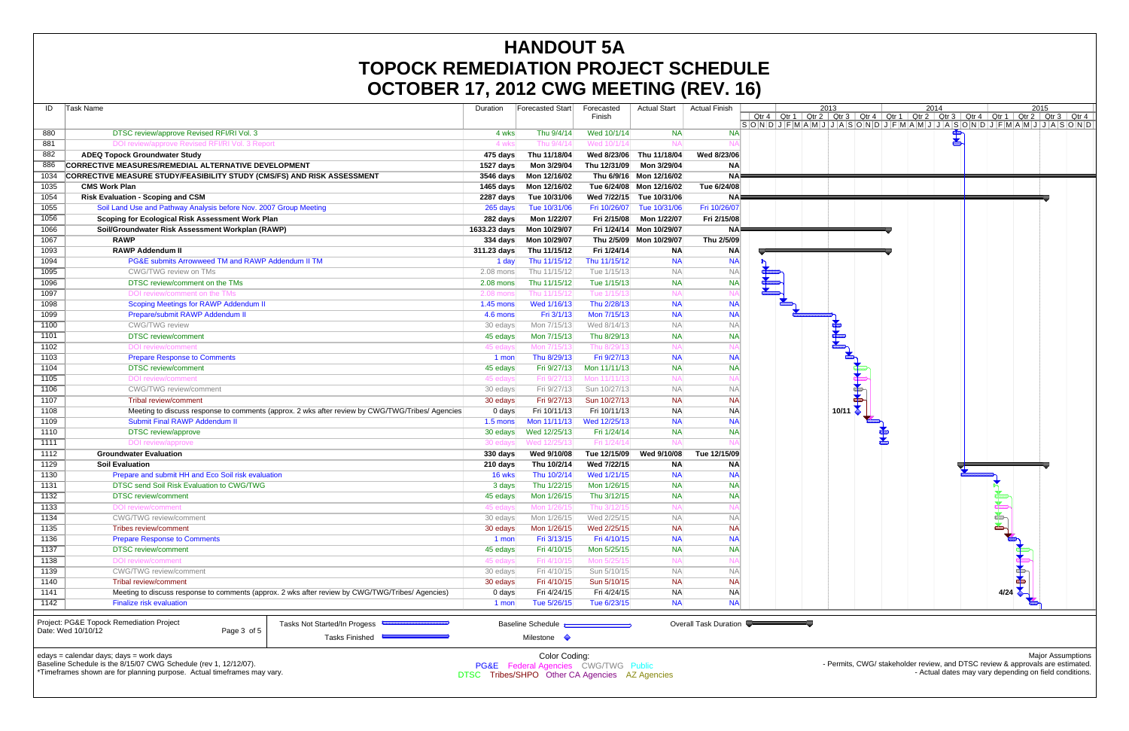| ID   | Task Name                                                                                                     |                                                                                                 | Duration          | Forecasted Start                       | Forecasted<br>Finish | <b>Actual Start</b> | <b>Actual Finish</b>  | $S$ O $N$ D $J$ F $M$ A $M$ J | Qtr 4 $\vert$ Qtr 1 | 20<br>$\sqrt{\frac{C_{\text{ctr}}^2}{2}}$ |
|------|---------------------------------------------------------------------------------------------------------------|-------------------------------------------------------------------------------------------------|-------------------|----------------------------------------|----------------------|---------------------|-----------------------|-------------------------------|---------------------|-------------------------------------------|
| 880  | DTSC review/approve Revised RFI/RI Vol. 3                                                                     |                                                                                                 | 4 wks             | Thu 9/4/14                             | Wed 10/1/14          | <b>NA</b>           | <b>NA</b>             |                               |                     |                                           |
| 881  | DOI review/approve Revised RFI/RI Vol. 3 Report                                                               |                                                                                                 | 4 wks             | Thu 9/4/14                             | Wed 10/1/1           | $N_A$               |                       |                               |                     |                                           |
| 882  | <b>ADEQ Topock Groundwater Study</b>                                                                          |                                                                                                 | 475 days          | Thu 11/18/04                           | Wed 8/23/06          | Thu 11/18/04        | Wed 8/23/06           |                               |                     |                                           |
| 886  | CORRECTIVE MEASURES/REMEDIAL ALTERNATIVE DEVELOPMENT                                                          |                                                                                                 | 1527 days         | Mon 3/29/04                            | Thu 12/31/09         | Mon 3/29/04         | <b>NA</b>             |                               |                     |                                           |
| 1034 | <b>CORRECTIVE MEASURE STUDY/FEASIBILITY STUDY (CMS/FS) AND RISK ASSESSMENT</b>                                |                                                                                                 | 3546 days         | Mon 12/16/02                           | Thu 6/9/16           | Mon 12/16/02        | <b>NA</b>             |                               |                     |                                           |
| 1035 | <b>CMS Work Plan</b>                                                                                          |                                                                                                 | 1465 days         | Mon 12/16/02                           | Tue 6/24/08          | Mon 12/16/02        | Tue 6/24/08           |                               |                     |                                           |
| 1054 | <b>Risk Evaluation - Scoping and CSM</b>                                                                      |                                                                                                 | 2287 days         | Tue 10/31/06                           | Wed 7/22/15          | Tue 10/31/06        | <b>NA</b>             |                               |                     |                                           |
| 1055 | Soil Land Use and Pathway Analysis before Nov. 2007 Group Meeting                                             |                                                                                                 | 265 days          | Tue 10/31/06                           | Fri 10/26/07         | Tue 10/31/06        | Fri 10/26/07          |                               |                     |                                           |
| 1056 | Scoping for Ecological Risk Assessment Work Plan                                                              |                                                                                                 | 282 days          | Mon 1/22/07                            | Fri 2/15/08          | Mon 1/22/07         | Fri 2/15/08           |                               |                     |                                           |
| 1066 | Soil/Groundwater Risk Assessment Workplan (RAWP)                                                              |                                                                                                 | 1633.23 days      | Mon 10/29/07                           | Fri 1/24/14          | Mon 10/29/07        | ΝA                    |                               |                     |                                           |
| 1067 | <b>RAWP</b>                                                                                                   |                                                                                                 | $334$ days        | Mon 10/29/07                           | Thu 2/5/09           | Mon 10/29/07        | Thu 2/5/09            |                               |                     |                                           |
| 1093 | <b>RAWP Addendum II</b>                                                                                       |                                                                                                 | 311.23 days       | Thu 11/15/12                           | Fri 1/24/14          | <b>NA</b>           | <b>NA</b>             |                               |                     |                                           |
| 1094 | PG&E submits Arrowweed TM and RAWP Addendum II TM                                                             |                                                                                                 | 1 day             | Thu 11/15/12                           | Thu 11/15/12         | <b>NA</b>           | <b>NA</b>             |                               |                     |                                           |
| 1095 | CWG/TWG review on TMs                                                                                         |                                                                                                 | $2.08$ mons       | Thu 11/15/12                           | Tue 1/15/13          | <b>NA</b>           | <b>NA</b>             |                               |                     |                                           |
| 1096 | DTSC review/comment on the TMs                                                                                |                                                                                                 | 2.08 mons         | Thu 11/15/12                           | Tue 1/15/13          | <b>NA</b>           | <b>NA</b>             |                               |                     |                                           |
| 1097 | DOI review/comment on the TMs                                                                                 |                                                                                                 | 2.08 mons         | Thu 11/15/12                           | Tue 1/15/1           | <b>NA</b>           | <b>NA</b>             |                               |                     |                                           |
| 1098 | <b>Scoping Meetings for RAWP Addendum II</b>                                                                  |                                                                                                 | 1.45 mons         | Wed 1/16/13                            | Thu 2/28/13          | <b>NA</b>           | <b>NA</b>             |                               |                     |                                           |
| 1099 | Prepare/submit RAWP Addendum II                                                                               |                                                                                                 | 4.6 mons          | Fri 3/1/13                             | Mon 7/15/13          | <b>NA</b>           | <b>NA</b>             |                               |                     |                                           |
| 1100 | <b>CWG/TWG</b> review                                                                                         |                                                                                                 | 30 edays          | Mon 7/15/13                            | Wed 8/14/13          | <b>NA</b>           | <b>NA</b>             |                               |                     |                                           |
| 1101 | <b>DTSC</b> review/comment                                                                                    |                                                                                                 |                   | Mon 7/15/13                            | Thu 8/29/13          | <b>NA</b>           | <b>NA</b>             |                               |                     |                                           |
| 1102 |                                                                                                               |                                                                                                 | 45 edays          | Mon 7/15/13                            | Thu 8/29/1           | <b>NA</b>           |                       |                               |                     |                                           |
| 1103 | DOI review/comment                                                                                            |                                                                                                 | 45 eday           |                                        |                      |                     | <b>NA</b>             |                               |                     |                                           |
|      | <b>Prepare Response to Comments</b>                                                                           |                                                                                                 | 1 mon             | Thu 8/29/13                            | Fri 9/27/13          | <b>NA</b>           |                       |                               |                     |                                           |
| 1104 | <b>DTSC</b> review/comment                                                                                    |                                                                                                 | 45 edays          | Fri 9/27/13                            | Mon 11/11/13         | <b>NA</b>           | <b>NA</b>             |                               |                     |                                           |
| 1105 | <b>DOI</b> review/comment                                                                                     |                                                                                                 | 45 edays          | Fri 9/27/13                            | Mon 11/11/1          | <b>NA</b>           |                       |                               |                     |                                           |
| 1106 | CWG/TWG review/comment                                                                                        |                                                                                                 | 30 edays          | Fri 9/27/13                            | Sun 10/27/13         | <b>NA</b>           | <b>NA</b>             |                               |                     |                                           |
| 1107 | Tribal review/comment                                                                                         |                                                                                                 | 30 edays          | Fri 9/27/13                            | Sun 10/27/13         | <b>NA</b>           | <b>NA</b>             |                               |                     |                                           |
| 1108 |                                                                                                               | Meeting to discuss response to comments (approx. 2 wks after review by CWG/TWG/Tribes/ Agencies | $0 \text{ days}$  | Fri 10/11/13                           | Fri 10/11/13         | <b>NA</b>           | <b>NA</b>             |                               |                     |                                           |
| 1109 | Submit Final RAWP Addendum II                                                                                 |                                                                                                 | $1.5 \text{ mon}$ | Mon 11/11/13                           | Wed 12/25/13         | <b>NA</b>           | <b>NA</b>             |                               |                     |                                           |
| 1110 | <b>DTSC</b> review/approve                                                                                    |                                                                                                 | 30 edays          | Wed 12/25/13                           | Fri 1/24/14          | <b>NA</b>           | <b>NA</b>             |                               |                     |                                           |
| 1111 | DOI review/approve                                                                                            |                                                                                                 | 30 edays          | Wed 12/25/13                           | Fri 1/24/1           | <b>NA</b>           |                       |                               |                     |                                           |
| 1112 | <b>Groundwater Evaluation</b>                                                                                 |                                                                                                 | 330 days          | Wed 9/10/08                            | Tue 12/15/09         | Wed 9/10/08         | Tue 12/15/09          |                               |                     |                                           |
| 1129 | <b>Soil Evaluation</b>                                                                                        |                                                                                                 | 210 days          | Thu 10/2/14                            | Wed 7/22/15          | <b>NA</b>           | <b>NA</b>             |                               |                     |                                           |
| 1130 | Prepare and submit HH and Eco Soil risk evaluation                                                            |                                                                                                 | 16 wks            | Thu 10/2/14                            | Wed 1/21/15          | <b>NA</b>           | <b>NA</b>             |                               |                     |                                           |
| 1131 | DTSC send Soil Risk Evaluation to CWG/TWG                                                                     |                                                                                                 | 3 days            | Thu 1/22/15                            | Mon 1/26/15          | <b>NA</b>           | <b>NA</b>             |                               |                     |                                           |
| 1132 | <b>DTSC</b> review/comment                                                                                    |                                                                                                 | 45 edays          | Mon 1/26/15                            | Thu 3/12/15          | <b>NA</b>           | <b>NA</b>             |                               |                     |                                           |
| 1133 | DOI review/comment                                                                                            |                                                                                                 | 45 edays          | Mon 1/26/15                            | Thu 3/12/1           | <b>NA</b>           | NA                    |                               |                     |                                           |
| 1134 | <b>CWG/TWG</b> review/comment                                                                                 |                                                                                                 | 30 edays          | Mon 1/26/15                            | Wed 2/25/15          | <b>NA</b>           | <b>NA</b>             |                               |                     |                                           |
| 1135 | <b>Tribes review/comment</b>                                                                                  |                                                                                                 | 30 edays          | Mon 1/26/15                            | Wed 2/25/15          | <b>NA</b>           | <b>NA</b>             |                               |                     |                                           |
| 1136 | <b>Prepare Response to Comments</b>                                                                           |                                                                                                 | 1 mon             | Fri 3/13/15                            | Fri 4/10/15          | <b>NA</b>           | <b>NA</b>             |                               |                     |                                           |
| 1137 | <b>DTSC</b> review/comment                                                                                    |                                                                                                 | 45 edays          | Fri 4/10/15                            | Mon 5/25/15          | <b>NA</b>           | <b>NA</b>             |                               |                     |                                           |
| 1138 | DOI review/comment                                                                                            |                                                                                                 | 45 edays          | Fri 4/10/15                            | Mon 5/25/1           | <b>NA</b>           |                       |                               |                     |                                           |
| 1139 | CWG/TWG review/comment                                                                                        |                                                                                                 | 30 edays          | Fri 4/10/15                            | Sun 5/10/15          | <b>NA</b>           | <b>NA</b>             |                               |                     |                                           |
| 1140 | Tribal review/comment                                                                                         |                                                                                                 | 30 edays          | Fri 4/10/15                            | Sun 5/10/15          | <b>NA</b>           | <b>NA</b>             |                               |                     |                                           |
| 1141 | Meeting to discuss response to comments (approx. 2 wks after review by CWG/TWG/Tribes/ Agencies)              |                                                                                                 |                   | Fri 4/24/15<br>$0$ days                | Fri 4/24/15          | <b>NA</b>           | <b>NA</b>             |                               |                     |                                           |
| 1142 | Finalize risk evaluation                                                                                      |                                                                                                 | 1 mon             | Tue 5/26/15                            | Tue 6/23/15          | <b>NA</b>           | <b>NA</b>             |                               |                     |                                           |
|      | Project: PG&E Topock Remediation Project                                                                      | Tasks Not Started/In Progess                                                                    |                   | Baseline Schedule <b>Communication</b> |                      |                     | Overall Task Duration |                               |                     |                                           |
|      | Date: Wed 10/10/12<br>Page 3 of 5                                                                             |                                                                                                 |                   |                                        |                      |                     |                       |                               |                     |                                           |
|      |                                                                                                               | Tasks Finished                                                                                  |                   | Milestone $\Diamond$                   |                      |                     |                       |                               |                     |                                           |
|      | edays = calendar days; days = work days<br>Boogline Schoolule is the $9/4E/07$ CMC Schoolule (roy 1 12/12/07) |                                                                                                 |                   | Color Coding:                          |                      |                     |                       |                               |                     |                                           |

Baseline Schedule is the 8/15/07 CWG Schedule (rev 1, 12/12/07).



- Permits, CWG/ stakeholder review, and DTSC review & approvals are estimated. - Actual dates may vary depending on field conditions.

\*Timeframes shown are for planning purpose. Actual timeframes may vary.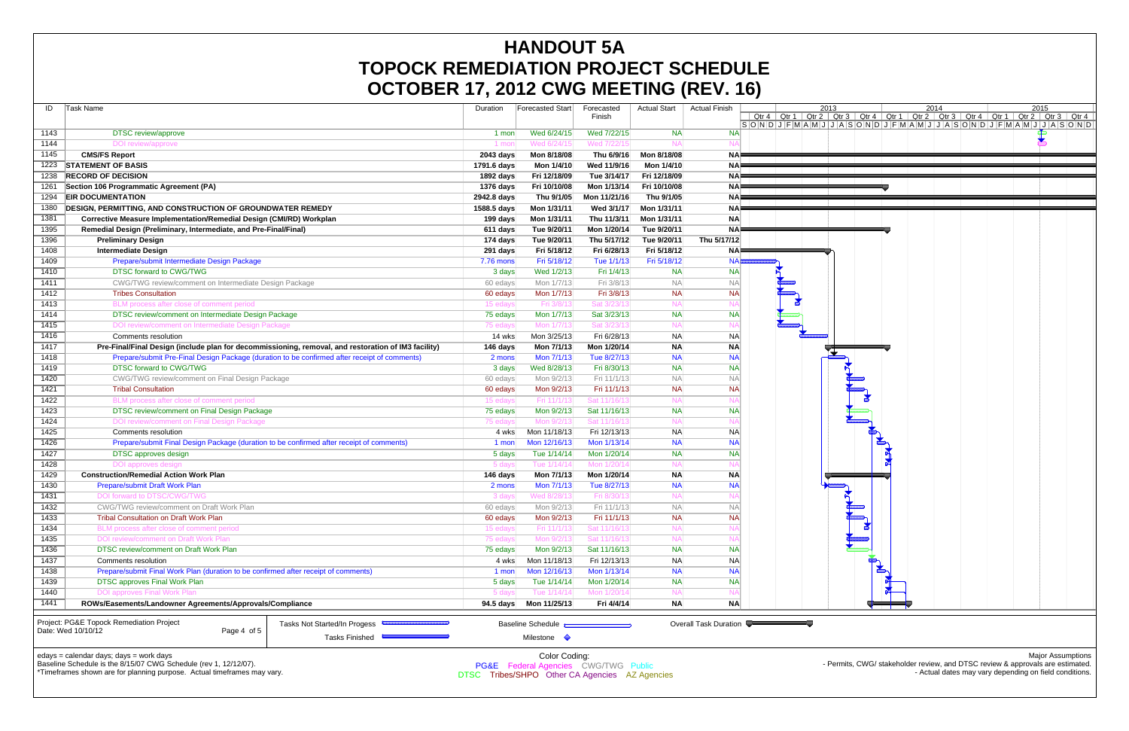| ID           | Task Name                                                                                                        |                                                                                                     | Duration    | Forecasted Start                                       | Forecasted<br>Finish        | <b>Actual Start</b> | <b>Actual Finish</b>  | $S$ O $N$ DJ $F$ $M$ A $M$ J | Qtr 4   Qtr 1   Qtr 2 | 20 |
|--------------|------------------------------------------------------------------------------------------------------------------|-----------------------------------------------------------------------------------------------------|-------------|--------------------------------------------------------|-----------------------------|---------------------|-----------------------|------------------------------|-----------------------|----|
| 1143         | <b>DTSC</b> review/approve                                                                                       |                                                                                                     | 1 mon       | Wed 6/24/15                                            | Wed 7/22/15                 | <b>NA</b>           | <b>NA</b>             |                              |                       |    |
| 1144         | DOI review/approve                                                                                               |                                                                                                     | 1 mor       | Wed 6/24/15                                            | Wed 7/22/1                  | N/                  |                       |                              |                       |    |
| 1145         | <b>CMS/FS Report</b>                                                                                             |                                                                                                     | 2043 days   | Mon 8/18/08                                            | Thu 6/9/16                  | Mon 8/18/08         | <b>NA</b>             |                              |                       |    |
| 1223         | <b>STATEMENT OF BASIS</b>                                                                                        |                                                                                                     | 1791.6 days | Mon 1/4/10                                             | Wed 11/9/16                 | Mon 1/4/10          | <b>NA</b>             |                              |                       |    |
| 1238         | <b>RECORD OF DECISION</b>                                                                                        |                                                                                                     | 1892 days   | Fri 12/18/09                                           | Tue 3/14/17                 | Fri 12/18/09        | <b>NA</b>             |                              |                       |    |
| 1261         | Section 106 Programmatic Agreement (PA)                                                                          |                                                                                                     | 1376 days   | Fri 10/10/08                                           | Mon 1/13/14                 | Fri 10/10/08        | <b>NA</b>             |                              |                       |    |
| 1294         | <b>EIR DOCUMENTATION</b>                                                                                         |                                                                                                     | 2942.8 days | Thu 9/1/05                                             | Mon 11/21/16                | Thu 9/1/05          | <b>NA</b>             |                              |                       |    |
| 1380         | <b>DESIGN, PERMITTING, AND CONSTRUCTION OF GROUNDWATER REMEDY</b>                                                |                                                                                                     | 1588.5 days | Mon 1/31/11                                            | Wed 3/1/17                  | Mon 1/31/11         | <b>NA</b>             |                              |                       |    |
| 1381         | Corrective Measure Implementation/Remedial Design (CMI/RD) Workplan                                              |                                                                                                     | 199 days    | Mon 1/31/11                                            | Thu 11/3/11                 | Mon 1/31/11         | <b>NA</b>             |                              |                       |    |
| 1395         | Remedial Design (Preliminary, Intermediate, and Pre-Final/Final)                                                 |                                                                                                     | $611$ days  | Tue 9/20/11                                            | Mon 1/20/14                 | Tue 9/20/11         | ΝA                    |                              |                       |    |
| 1396         | <b>Preliminary Design</b>                                                                                        |                                                                                                     | 174 days    | Tue 9/20/11                                            | Thu 5/17/12                 | Tue 9/20/11         | Thu 5/17/12           |                              |                       |    |
| 1408         | <b>Intermediate Design</b>                                                                                       |                                                                                                     | 291 days    | Fri 5/18/12                                            | Fri 6/28/13                 | Fri 5/18/12         | <b>NA</b>             |                              |                       |    |
| 1409         | Prepare/submit Intermediate Design Package                                                                       |                                                                                                     | 7.76 mons   | Fri 5/18/12                                            | Tue 1/1/13                  | Fri 5/18/12         | <b>NA</b>             |                              |                       |    |
| 1410         | <b>DTSC forward to CWG/TWG</b>                                                                                   |                                                                                                     | 3 days      | Wed 1/2/13                                             | Fri 1/4/13                  | <b>NA</b>           | <b>NA</b>             |                              |                       |    |
| 1411         | CWG/TWG review/comment on Intermediate Design Package                                                            |                                                                                                     | 60 edays    | Mon 1/7/13                                             | Fri 3/8/13                  | <b>NA</b>           | <b>NA</b>             |                              |                       |    |
| 1412         | <b>Tribes Consultation</b>                                                                                       |                                                                                                     | 60 edays    | Mon 1/7/13                                             | Fri 3/8/13                  | <b>NA</b>           | <b>NA</b>             |                              |                       |    |
| 1413         | BLM process after close of comment period                                                                        |                                                                                                     | 15 edays    | Fri 3/8/13                                             | Sat 3/23/1                  | $N_A$               | NΑ                    |                              |                       |    |
| 1414         | DTSC review/comment on Intermediate Design Package                                                               |                                                                                                     | 75 edays    | Mon 1/7/13                                             | Sat 3/23/13                 | <b>NA</b>           | <b>NA</b>             |                              |                       |    |
| 1415         | DOI review/comment on Intermediate Design Package                                                                |                                                                                                     | 75 edays    | Mon 1/7/13                                             | Sat 3/23/1                  | $N_A$               | ΝA                    |                              |                       |    |
| 1416         | Comments resolution                                                                                              |                                                                                                     | 14 wks      | Mon 3/25/13                                            | Fri 6/28/13                 | <b>NA</b>           | <b>NA</b>             |                              |                       |    |
| 1417         |                                                                                                                  |                                                                                                     | 146 days    | Mon 7/1/13                                             | Mon 1/20/14                 | <b>NA</b>           | <b>NA</b>             |                              |                       |    |
| 1418         | Prepare/submit Pre-Final Design Package (duration to be confirmed after receipt of comments)                     | Pre-Final/Final Design (include plan for decommissioning, removal, and restoration of IM3 facility) | 2 mons      | Mon 7/1/13                                             | Tue 8/27/13                 | <b>NA</b>           | <b>NA</b>             |                              |                       |    |
| 1419         | DTSC forward to CWG/TWG                                                                                          |                                                                                                     | 3 days      | Wed 8/28/13                                            | Fri 8/30/13                 | <b>NA</b>           | <b>NA</b>             |                              |                       |    |
| 1420         |                                                                                                                  |                                                                                                     |             | Mon 9/2/13                                             | Fri 11/1/13                 | <b>NA</b>           | <b>NA</b>             |                              |                       |    |
|              | CWG/TWG review/comment on Final Design Package<br><b>Tribal Consultation</b>                                     |                                                                                                     | 60 edays    |                                                        | Fri 11/1/13                 |                     | <b>NA</b>             |                              |                       |    |
| 1421<br>1422 |                                                                                                                  |                                                                                                     | 60 edays    | Mon 9/2/13                                             |                             | <b>NA</b><br>$N_A$  | N۵                    |                              |                       |    |
| 1423         | BLM process after close of comment period                                                                        |                                                                                                     | 15 edays    | Fri 11/1/13                                            | Sat 11/16/1                 |                     |                       |                              |                       |    |
| 1424         | DTSC review/comment on Final Design Package                                                                      |                                                                                                     | 75 edays    | Mon 9/2/13                                             | Sat 11/16/13<br>Sat 11/16/1 | <b>NA</b>           | <b>NA</b>             |                              |                       |    |
|              | DOI review/comment on Final Design Package                                                                       |                                                                                                     | 75 edays    | Mon 9/2/13                                             |                             | <b>NA</b>           |                       |                              |                       |    |
| 1425         | Comments resolution                                                                                              |                                                                                                     | 4 wks       | Mon 11/18/13                                           | Fri 12/13/13                | <b>NA</b>           | <b>NA</b>             |                              |                       |    |
| 1426         | Prepare/submit Final Design Package (duration to be confirmed after receipt of comments)                         |                                                                                                     | 1 mon       | Mon 12/16/13                                           | Mon 1/13/14                 | <b>NA</b>           | <b>NA</b>             |                              |                       |    |
| 1427         | <b>DTSC</b> approves design                                                                                      |                                                                                                     | 5 days      | Tue 1/14/14                                            | Mon 1/20/14                 | <b>NA</b>           | <b>NA</b>             |                              |                       |    |
| 1428         | DOI approves design                                                                                              |                                                                                                     | 5 days      | Tue 1/14/14                                            | Mon 1/20/1                  | $N_A$               | NA                    |                              |                       |    |
| 1429         | <b>Construction/Remedial Action Work Plan</b>                                                                    |                                                                                                     | 146 days    | Mon 7/1/13                                             | Mon 1/20/14                 | <b>NA</b>           | <b>NA</b>             |                              |                       |    |
| 1430         | Prepare/submit Draft Work Plan<br><b>DOI forward to DTSC/CWG/TWG</b>                                             |                                                                                                     | 2 mons      | Mon 7/1/13                                             | Tue 8/27/13                 | <b>NA</b>           | <b>NA</b>             |                              |                       |    |
| 1431<br>1432 | CWG/TWG review/comment on Draft Work Plan                                                                        |                                                                                                     | 3 days      | Wed 8/28/1:                                            | Fri 8/30/1                  | N/<br><b>NA</b>     | NΑ<br><b>NA</b>       |                              |                       |    |
|              |                                                                                                                  |                                                                                                     | 60 edays    | Mon 9/2/13                                             | Fri 11/1/13                 |                     |                       |                              |                       |    |
| 1433         | Tribal Consultation on Draft Work Plan                                                                           |                                                                                                     | 60 edays    | Mon 9/2/13                                             | Fri 11/1/13                 | <b>NA</b>           | <b>NA</b>             |                              |                       |    |
| 1434         | BLM process after close of comment period                                                                        |                                                                                                     | 15 edays    | Fri 11/1/13                                            | Sat 11/16/1                 | NA                  |                       |                              |                       |    |
| 1435         | DOI review/comment on Draft Work Plan                                                                            |                                                                                                     | 75 edays    | Mon 9/2/13                                             | Sat 11/16/13                | <b>NA</b>           | <b>NA</b>             |                              |                       |    |
| 1436         | DTSC review/comment on Draft Work Plan                                                                           |                                                                                                     | 75 edays    | Mon 9/2/13<br>Mon 11/18/13                             | Sat 11/16/13                | <b>NA</b>           | NA                    |                              |                       |    |
| 1437         | Comments resolution                                                                                              |                                                                                                     | 4 wks       |                                                        | Fri 12/13/13                | <b>NA</b>           | <b>NA</b>             |                              |                       |    |
| 1438         | Prepare/submit Final Work Plan (duration to be confirmed after receipt of comments)                              |                                                                                                     | 1 mon       | Mon 12/16/13                                           | Mon 1/13/14                 | <b>NA</b>           | <b>NA</b>             |                              |                       |    |
| 1439         | <b>DTSC approves Final Work Plan</b>                                                                             |                                                                                                     | 5 days      | Tue 1/14/14                                            | Mon 1/20/14                 | <b>NA</b>           | NA                    |                              |                       |    |
| 1440         | <b>DOI approves Final Work Plan</b>                                                                              |                                                                                                     | 5 days      | Tue 1/14/14                                            | Mon 1/20/14                 | <b>NA</b>           | <b>NA</b>             |                              |                       |    |
| 1441         | ROWs/Easements/Landowner Agreements/Approvals/Compliance                                                         |                                                                                                     | $94.5$ days | Mon 11/25/13                                           | Fri 4/4/14                  | <b>NA</b>           | <b>NA</b>             |                              |                       |    |
|              | Project: PG&E Topock Remediation Project<br>Date: Wed 10/10/12<br>Page 4 of 5                                    | Tasks Not Started/In Progess<br><b>Tasks Finished</b>                                               |             | Baseline Schedule <b>Communications</b><br>Milestone < |                             |                     | Overall Task Duration |                              |                       |    |
|              | $edays = calendar days$ ; $days = work days$<br>Baseline Schedule is the 8/15/07 CWG Schedule (rev 1, 12/12/07). |                                                                                                     |             | Color Coding:<br>PG&E Federal Agencies CWG/TWG Public  |                             |                     |                       |                              |                       |    |



\*Timeframes shown are for planning purpose. Actual timeframes may vary.

Major Assumptions Permits, CWG/ stakeholder review, and DTSC review & approvals are estimated. - Actual dates may vary depending on field conditions.